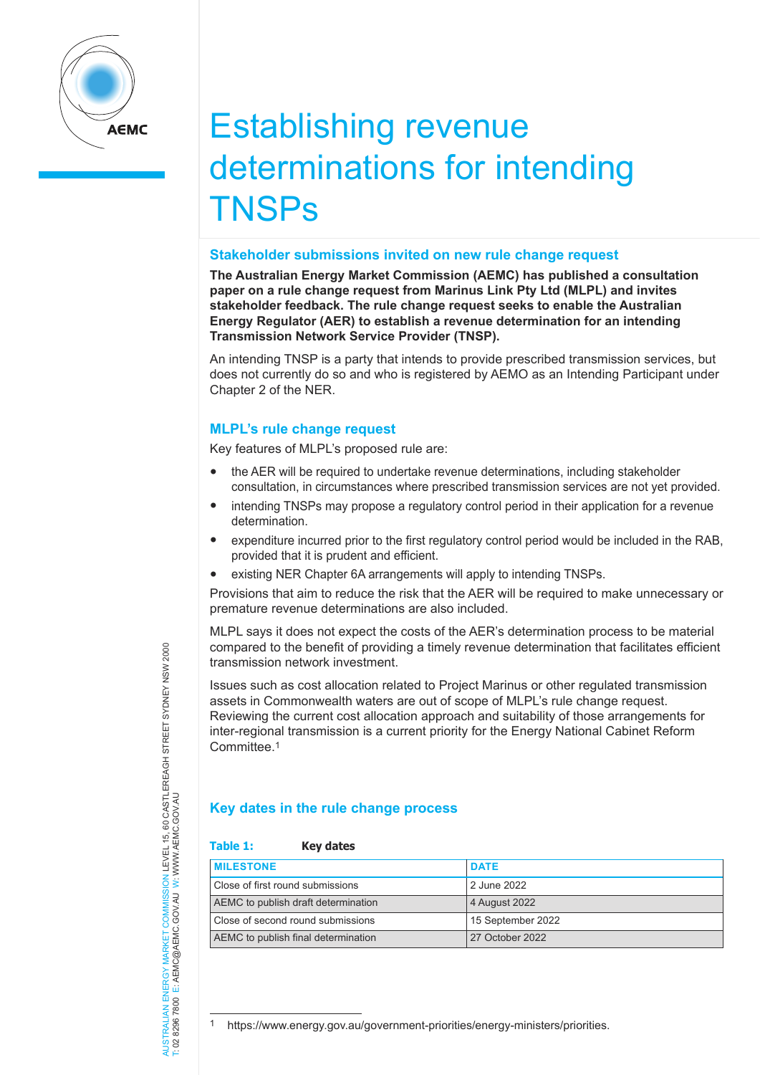

# Establishing revenue determinations for intending **TNSPs**

#### **Stakeholder submissions invited on new rule change request**

**The Australian Energy Market Commission (AEMC) has published a consultation paper on a rule change request from Marinus Link Pty Ltd (MLPL) and invites stakeholder feedback. The rule change request seeks to enable the Australian Energy Regulator (AER) to establish a revenue determination for an intending Transmission Network Service Provider (TNSP).** 

An intending TNSP is a party that intends to provide prescribed transmission services, but does not currently do so and who is registered by AEMO as an Intending Participant under Chapter 2 of the NER.

## **MLPL's rule change request**

Key features of MLPL's proposed rule are:

- the AER will be required to undertake revenue determinations, including stakeholder consultation, in circumstances where prescribed transmission services are not yet provided.
- intending TNSPs may propose a regulatory control period in their application for a revenue determination.
- expenditure incurred prior to the first regulatory control period would be included in the RAB, provided that it is prudent and efficient.
- existing NER Chapter 6A arrangements will apply to intending TNSPs.

Provisions that aim to reduce the risk that the AER will be required to make unnecessary or premature revenue determinations are also included.

MLPL says it does not expect the costs of the AER's determination process to be material compared to the benefit of providing a timely revenue determination that facilitates efficient transmission network investment.

Issues such as cost allocation related to Project Marinus or other regulated transmission assets in Commonwealth waters are out of scope of MLPL's rule change request. Reviewing the current cost allocation approach and suitability of those arrangements for inter-regional transmission is a current priority for the Energy National Cabinet Reform Committee.1

## **Key dates in the rule change process**

## **Table 1: Key dates**

| <b>MILESTONE</b>                    | <b>DATE</b>       |
|-------------------------------------|-------------------|
| Close of first round submissions    | 2 June 2022       |
| AEMC to publish draft determination | 4 August 2022     |
| Close of second round submissions   | 15 September 2022 |
| AEMC to publish final determination | 27 October 2022   |

COMMISSION LEVEL 15, 60 CASTLEREAGH STREET SYDNEY NSW 2000<br>C.GOVAU W: WWW.AEMC.GOV.AU AUSTRALIAN ENERGY MARKET COMMISSION LEVEL 15, 60 CASTLEREAGH STREET SYDNEY NSW 2000 T: 02 8296 7800 E: AEMC@AEMC.GOV.AU W: WWW.AEMC.GOV.AU VERSI MARRET COMMISSION **AUSTRALIAN ENERGY MARKET** 0282967800

<sup>1</sup> https://www.energy.gov.au/government-priorities/energy-ministers/priorities.